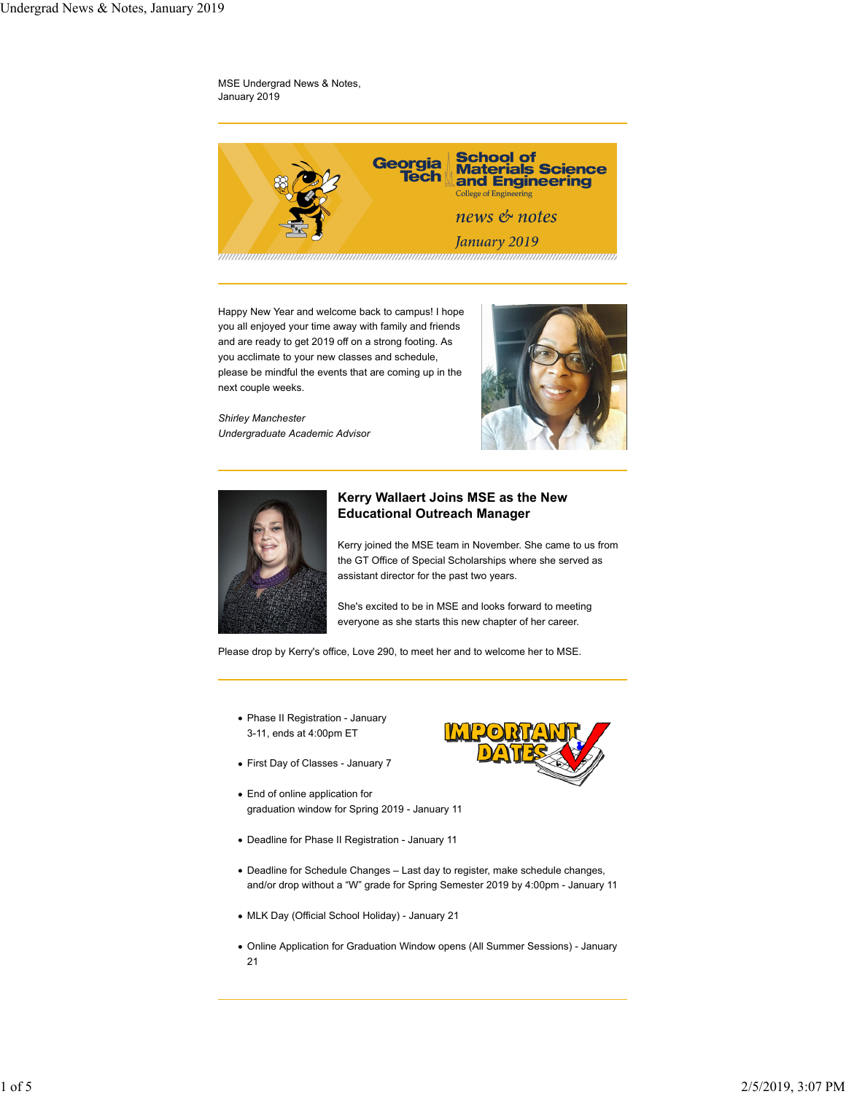### MSE Undergrad News & Notes, January 2019



Happy New Year and welcome back to campus! I hope you all enjoyed your time away with family and friends and are ready to get 2019 off on a strong footing. As you acclimate to your new classes and schedule, please be mindful the events that are coming up in the next couple weeks.

*Shirley Manchester Undergraduate Academic Advisor*





# **Kerry Wallaert Joins MSE as the New Educational Outreach Manager**

Kerry joined the MSE team in November. She came to us from the GT Office of Special Scholarships where she served as assistant director for the past two years.

She's excited to be in MSE and looks forward to meeting everyone as she starts this new chapter of her career.

Please drop by Kerry's office, Love 290, to meet her and to welcome her to MSE.

- Phase II Registration January 3-11, ends at 4:00pm ET
- First Day of Classes January 7
- End of online application for graduation window for Spring 2019 - January 11
- Deadline for Phase II Registration January 11
- Deadline for Schedule Changes Last day to register, make schedule changes, and/or drop without a "W" grade for Spring Semester 2019 by 4:00pm - January 11
- MLK Day (Official School Holiday) January 21
- Online Application for Graduation Window opens (All Summer Sessions) January 21

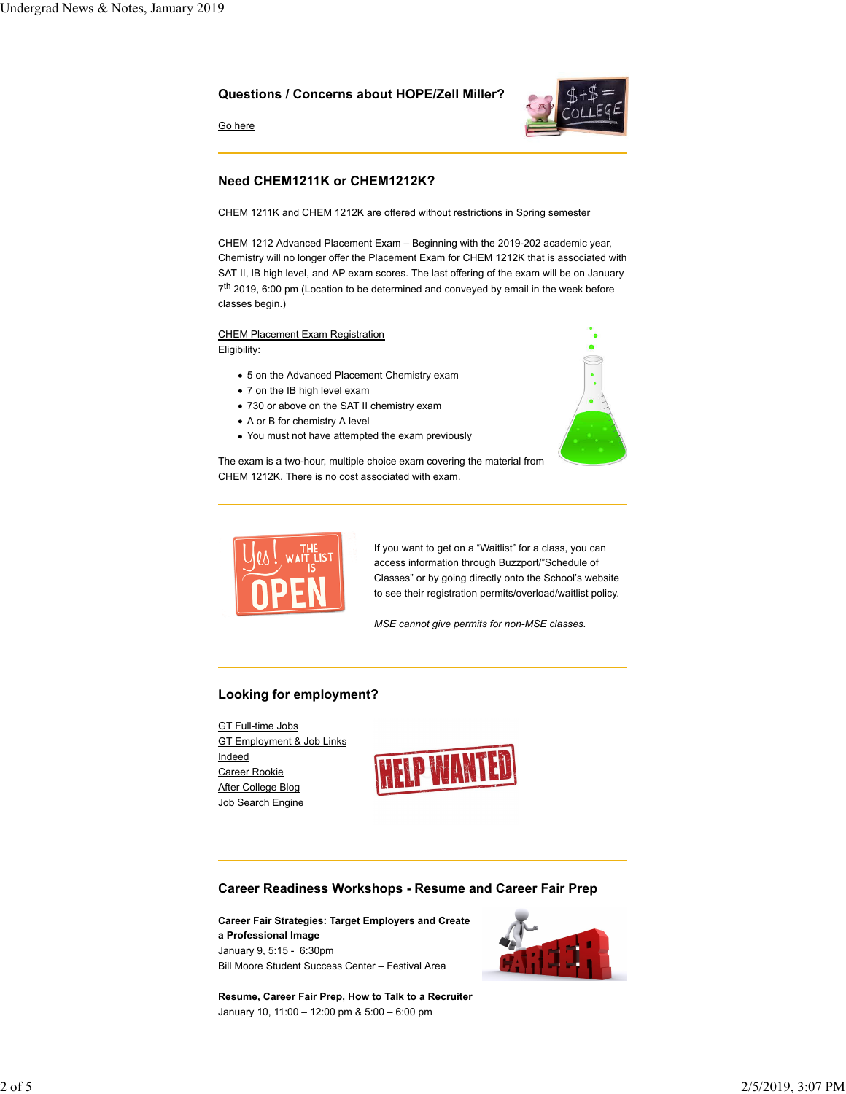### **Questions / Concerns about HOPE/Zell Miller?**



Go here

# **Need CHEM1211K or CHEM1212K?**

CHEM 1211K and CHEM 1212K are offered without restrictions in Spring semester

CHEM 1212 Advanced Placement Exam – Beginning with the 2019-202 academic year, Chemistry will no longer offer the Placement Exam for CHEM 1212K that is associated with SAT II, IB high level, and AP exam scores. The last offering of the exam will be on January 7<sup>th</sup> 2019, 6:00 pm (Location to be determined and conveyed by email in the week before classes begin.)

CHEM Placement Exam Registration Eligibility:

- 5 on the Advanced Placement Chemistry exam
- 7 on the IB high level exam
- 730 or above on the SAT II chemistry exam
- A or B for chemistry A level
- You must not have attempted the exam previously





If you want to get on a "Waitlist" for a class, you can access information through Buzzport/"Schedule of Classes" or by going directly onto the School's website to see their registration permits/overload/waitlist policy.

*MSE cannot give permits for non-MSE classes.*

### **Looking for employment?**

GT Full-time Jobs GT Employment & Job Links Indeed Career Rookie After College Blog Job Search Engine



### **Career Readiness Workshops - Resume and Career Fair Prep**

**Career Fair Strategies: Target Employers and Create a Professional Image** January 9, 5:15 - 6:30pm Bill Moore Student Success Center – Festival Area

**Resume, Career Fair Prep, How to Talk to a Recruiter** January 10, 11:00 – 12:00 pm & 5:00 – 6:00 pm

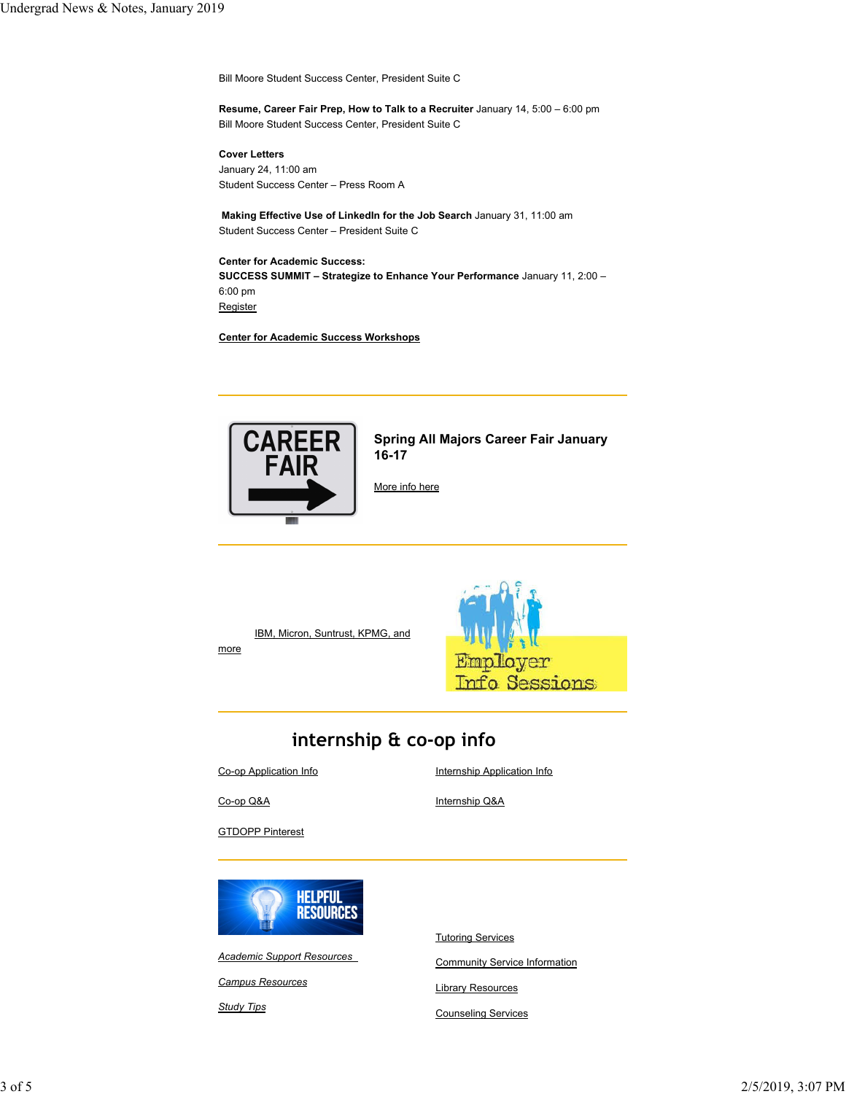Bill Moore Student Success Center, President Suite C

**Resume, Career Fair Prep, How to Talk to a Recruiter** January 14, 5:00 – 6:00 pm Bill Moore Student Success Center, President Suite C

**Cover Letters**

January 24, 11:00 am Student Success Center – Press Room A

**Making Effective Use of LinkedIn for the Job Search** January 31, 11:00 am Student Success Center – President Suite C

#### **Center for Academic Success:**

**SUCCESS SUMMIT – Strategize to Enhance Your Performance** January 11, 2:00 – 6:00 pm Register

**Center for Academic Success Workshops**



**Spring All Majors Career Fair January 16-17**

More info here

IBM, Micron, Suntrust, KPMG, and more



# **internship & co-op info**

Co-op Application Info

Internship Application Info

Co-op Q&A

Internship Q&A

**GTDOPP Pinterest** 



*Academic Support Resources*

*Campus Resources*

*Study Tips*

Tutoring Services

Community Service Information

Library Resources

Counseling Services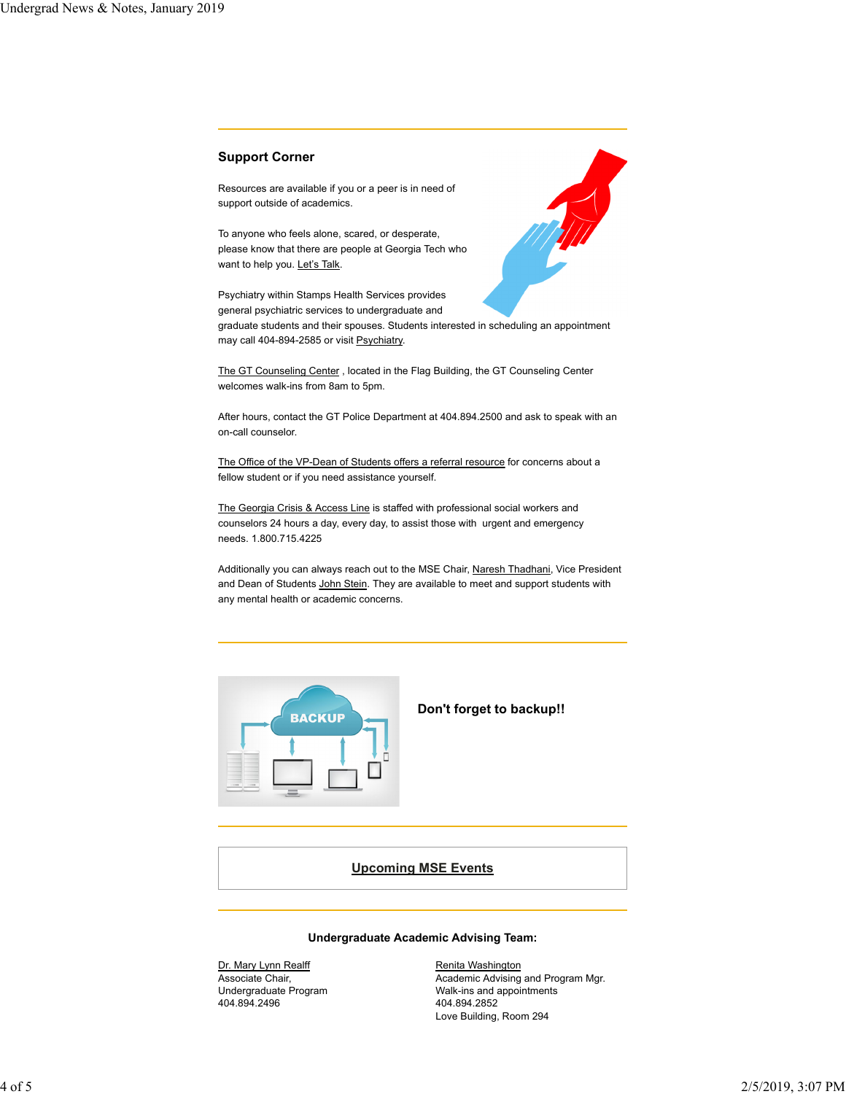### **Support Corner**

Resources are available if you or a peer is in need of support outside of academics.

To anyone who feels alone, scared, or desperate, please know that there are people at Georgia Tech who want to help you. Let's Talk.

Psychiatry within Stamps Health Services provides general psychiatric services to undergraduate and

graduate students and their spouses. Students interested in scheduling an appointment may call 404-894-2585 or visit Psychiatry.

The GT Counseling Center , located in the Flag Building, the GT Counseling Center welcomes walk-ins from 8am to 5pm.

After hours, contact the GT Police Department at 404.894.2500 and ask to speak with an on-call counselor.

The Office of the VP-Dean of Students offers a referral resource for concerns about a fellow student or if you need assistance yourself.

The Georgia Crisis & Access Line is staffed with professional social workers and counselors 24 hours a day, every day, to assist those with urgent and emergency needs. 1.800.715.4225

Additionally you can always reach out to the MSE Chair, Naresh Thadhani, Vice President and Dean of Students John Stein. They are available to meet and support students with any mental health or academic concerns.



### **Don't forget to backup!!**

# **Upcoming MSE Events**

# **Undergraduate Academic Advising Team:**

Dr. Mary Lynn Realff Associate Chair, Undergraduate Program 404.894.2496

Renita Washington Academic Advising and Program Mgr. Walk-ins and appointments 404.894.2852 Love Building, Room 294